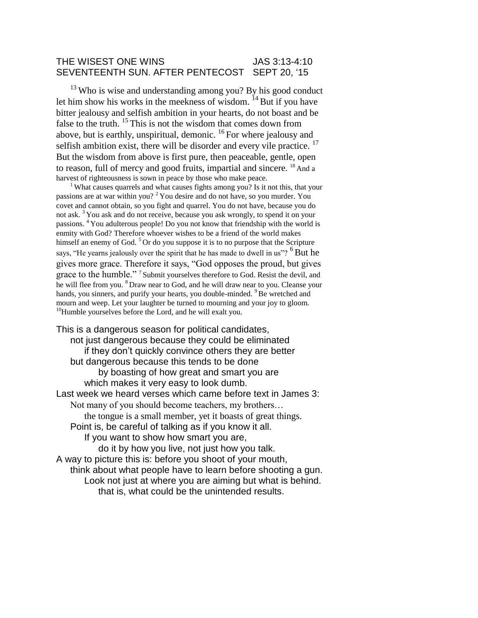#### THE WISEST ONE WINS **SEEMS** JAS 3:13-4:10 SEVENTEENTH SUN. AFTER PENTECOST SEPT 20, '15

<sup>13</sup> Who is wise and understanding among you? By his good conduct let him show his works in the meekness of wisdom.  $^{14}$  But if you have bitter jealousy and selfish ambition in your hearts, do not boast and be false to the truth.  $15$  This is not the wisdom that comes down from above, but is earthly, unspiritual, demonic.  $^{16}$  For where jealousy and selfish ambition exist, there will be disorder and every vile practice.  $17$ But the wisdom from above is first pure, then peaceable, gentle, open to reason, full of mercy and good fruits, impartial and sincere. <sup>18</sup> And a harvest of righteousness is sown in peace by those who make peace.

<sup>1</sup> What causes quarrels and what causes fights among you? Is it not this, that your passions are at war within you?  $2$  You desire and do not have, so you murder. You covet and cannot obtain, so you fight and quarrel. You do not have, because you do not ask. <sup>3</sup>You ask and do not receive, because you ask wrongly, to spend it on your passions. <sup>4</sup>You adulterous people! Do you not know that friendship with the world is enmity with God? Therefore whoever wishes to be a friend of the world makes himself an enemy of God.  $5^\circ$  Or do you suppose it is to no purpose that the Scripture says, "He yearns jealously over the spirit that he has made to dwell in us"? <sup>6</sup> But he gives more grace. Therefore it says, "God opposes the proud, but gives grace to the humble."<sup>7</sup> Submit yourselves therefore to God. Resist the devil, and he will flee from you. <sup>8</sup> Draw near to God, and he will draw near to you. Cleanse your hands, you sinners, and purify your hearts, you double-minded. <sup>9</sup>Be wretched and mourn and weep. Let your laughter be turned to mourning and your joy to gloom.  $10$ Humble yourselves before the Lord, and he will exalt you.

This is a dangerous season for political candidates, not just dangerous because they could be eliminated if they don't quickly convince others they are better but dangerous because this tends to be done by boasting of how great and smart you are which makes it very easy to look dumb. Last week we heard verses which came before text in James 3: Not many of you should become teachers, my brothers… the tongue is a small member, yet it boasts of great things. Point is, be careful of talking as if you know it all. If you want to show how smart you are, do it by how you live, not just how you talk. A way to picture this is: before you shoot of your mouth, think about what people have to learn before shooting a gun. Look not just at where you are aiming but what is behind. that is, what could be the unintended results.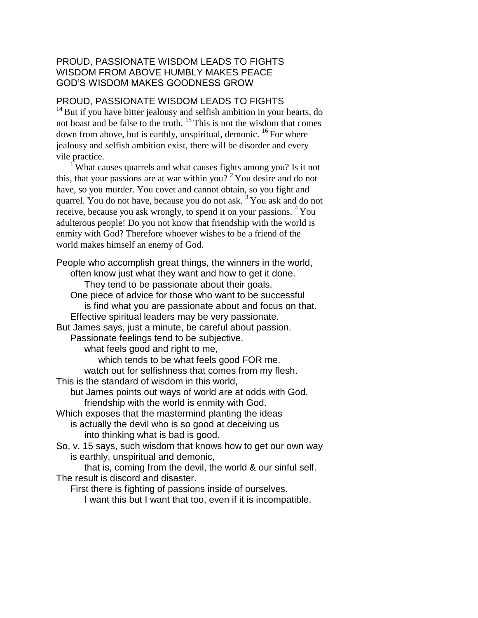## PROUD, PASSIONATE WISDOM LEADS TO FIGHTS WISDOM FROM ABOVE HUMBLY MAKES PEACE GOD'S WISDOM MAKES GOODNESS GROW

# PROUD, PASSIONATE WISDOM LEADS TO FIGHTS

 $14$  But if you have bitter jealousy and selfish ambition in your hearts, do not boast and be false to the truth.  $15$  This is not the wisdom that comes down from above, but is earthly, unspiritual, demonic.  $^{16}$  For where jealousy and selfish ambition exist, there will be disorder and every vile practice.

<sup>1</sup> What causes quarrels and what causes fights among you? Is it not this, that your passions are at war within you?  $2^2$  You desire and do not have, so you murder. You covet and cannot obtain, so you fight and quarrel. You do not have, because you do not ask. <sup>3</sup>You ask and do not receive, because you ask wrongly, to spend it on your passions. <sup>4</sup>You adulterous people! Do you not know that friendship with the world is enmity with God? Therefore whoever wishes to be a friend of the world makes himself an enemy of God.

People who accomplish great things, the winners in the world, often know just what they want and how to get it done. They tend to be passionate about their goals. One piece of advice for those who want to be successful is find what you are passionate about and focus on that. Effective spiritual leaders may be very passionate. But James says, just a minute, be careful about passion. Passionate feelings tend to be subjective, what feels good and right to me, which tends to be what feels good FOR me. watch out for selfishness that comes from my flesh. This is the standard of wisdom in this world, but James points out ways of world are at odds with God. friendship with the world is enmity with God. Which exposes that the mastermind planting the ideas is actually the devil who is so good at deceiving us into thinking what is bad is good. So, v. 15 says, such wisdom that knows how to get our own way is earthly, unspiritual and demonic, that is, coming from the devil, the world & our sinful self. The result is discord and disaster. First there is fighting of passions inside of ourselves.

I want this but I want that too, even if it is incompatible.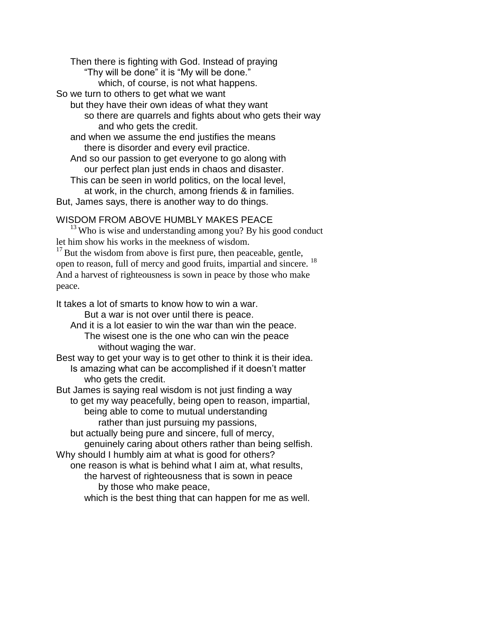Then there is fighting with God. Instead of praying "Thy will be done" it is "My will be done." which, of course, is not what happens. So we turn to others to get what we want but they have their own ideas of what they want so there are quarrels and fights about who gets their way and who gets the credit. and when we assume the end justifies the means there is disorder and every evil practice. And so our passion to get everyone to go along with our perfect plan just ends in chaos and disaster. This can be seen in world politics, on the local level, at work, in the church, among friends & in families. But, James says, there is another way to do things.

## WISDOM FROM ABOVE HUMBLY MAKES PEACE

 $13$  Who is wise and understanding among you? By his good conduct let him show his works in the meekness of wisdom.

 $17$  But the wisdom from above is first pure, then peaceable, gentle, open to reason, full of mercy and good fruits, impartial and sincere. <sup>18</sup> And a harvest of righteousness is sown in peace by those who make peace.

It takes a lot of smarts to know how to win a war.

But a war is not over until there is peace.

And it is a lot easier to win the war than win the peace. The wisest one is the one who can win the peace without waging the war.

Best way to get your way is to get other to think it is their idea. Is amazing what can be accomplished if it doesn't matter who gets the credit.

But James is saying real wisdom is not just finding a way to get my way peacefully, being open to reason, impartial, being able to come to mutual understanding rather than just pursuing my passions,

but actually being pure and sincere, full of mercy, genuinely caring about others rather than being selfish. Why should I humbly aim at what is good for others?

one reason is what is behind what I aim at, what results,

the harvest of righteousness that is sown in peace by those who make peace,

which is the best thing that can happen for me as well.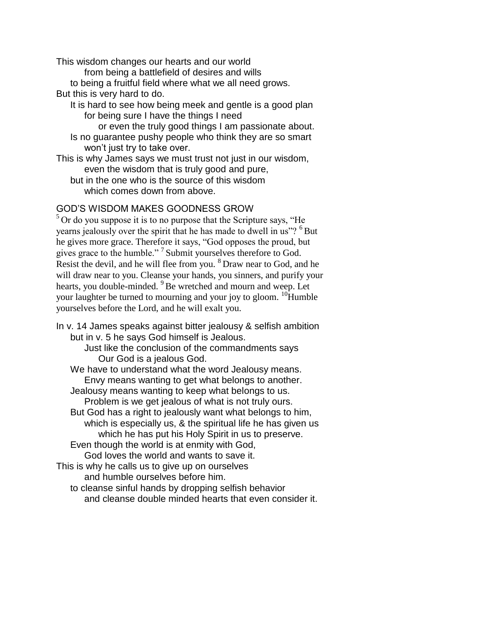This wisdom changes our hearts and our world

from being a battlefield of desires and wills

to being a fruitful field where what we all need grows. But this is very hard to do.

It is hard to see how being meek and gentle is a good plan for being sure I have the things I need

or even the truly good things I am passionate about. Is no guarantee pushy people who think they are so smart won't just try to take over.

This is why James says we must trust not just in our wisdom, even the wisdom that is truly good and pure,

but in the one who is the source of this wisdom which comes down from above.

# GOD'S WISDOM MAKES GOODNESS GROW

 $5$  Or do you suppose it is to no purpose that the Scripture says, "He yearns jealously over the spirit that he has made to dwell in us"? <sup>6</sup>But he gives more grace. Therefore it says, "God opposes the proud, but gives grace to the humble."<sup>7</sup> Submit yourselves therefore to God. Resist the devil, and he will flee from you. <sup>8</sup> Draw near to God, and he will draw near to you. Cleanse your hands, you sinners, and purify your hearts, you double-minded. <sup>9</sup>Be wretched and mourn and weep. Let your laughter be turned to mourning and your joy to gloom.  $^{10}$ Humble yourselves before the Lord, and he will exalt you.

In v. 14 James speaks against bitter jealousy & selfish ambition but in v. 5 he says God himself is Jealous.

Just like the conclusion of the commandments says Our God is a jealous God.

We have to understand what the word Jealousy means. Envy means wanting to get what belongs to another. Jealousy means wanting to keep what belongs to us.

Problem is we get jealous of what is not truly ours.

But God has a right to jealously want what belongs to him, which is especially us, & the spiritual life he has given us which he has put his Holy Spirit in us to preserve. Even though the world is at enmity with God,

God loves the world and wants to save it.

This is why he calls us to give up on ourselves

and humble ourselves before him.

to cleanse sinful hands by dropping selfish behavior and cleanse double minded hearts that even consider it.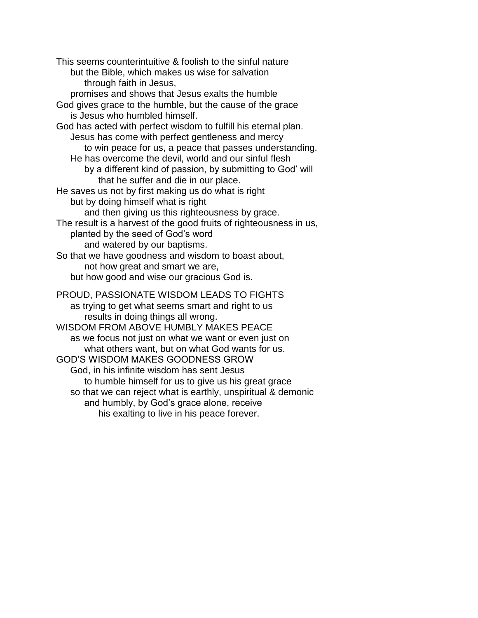This seems counterintuitive & foolish to the sinful nature but the Bible, which makes us wise for salvation through faith in Jesus, promises and shows that Jesus exalts the humble God gives grace to the humble, but the cause of the grace is Jesus who humbled himself. God has acted with perfect wisdom to fulfill his eternal plan. Jesus has come with perfect gentleness and mercy to win peace for us, a peace that passes understanding. He has overcome the devil, world and our sinful flesh by a different kind of passion, by submitting to God' will that he suffer and die in our place. He saves us not by first making us do what is right but by doing himself what is right and then giving us this righteousness by grace. The result is a harvest of the good fruits of righteousness in us, planted by the seed of God's word and watered by our baptisms. So that we have goodness and wisdom to boast about, not how great and smart we are, but how good and wise our gracious God is. PROUD, PASSIONATE WISDOM LEADS TO FIGHTS as trying to get what seems smart and right to us results in doing things all wrong. WISDOM FROM ABOVE HUMBLY MAKES PEACE as we focus not just on what we want or even just on what others want, but on what God wants for us. GOD'S WISDOM MAKES GOODNESS GROW God, in his infinite wisdom has sent Jesus to humble himself for us to give us his great grace so that we can reject what is earthly, unspiritual & demonic and humbly, by God's grace alone, receive his exalting to live in his peace forever.